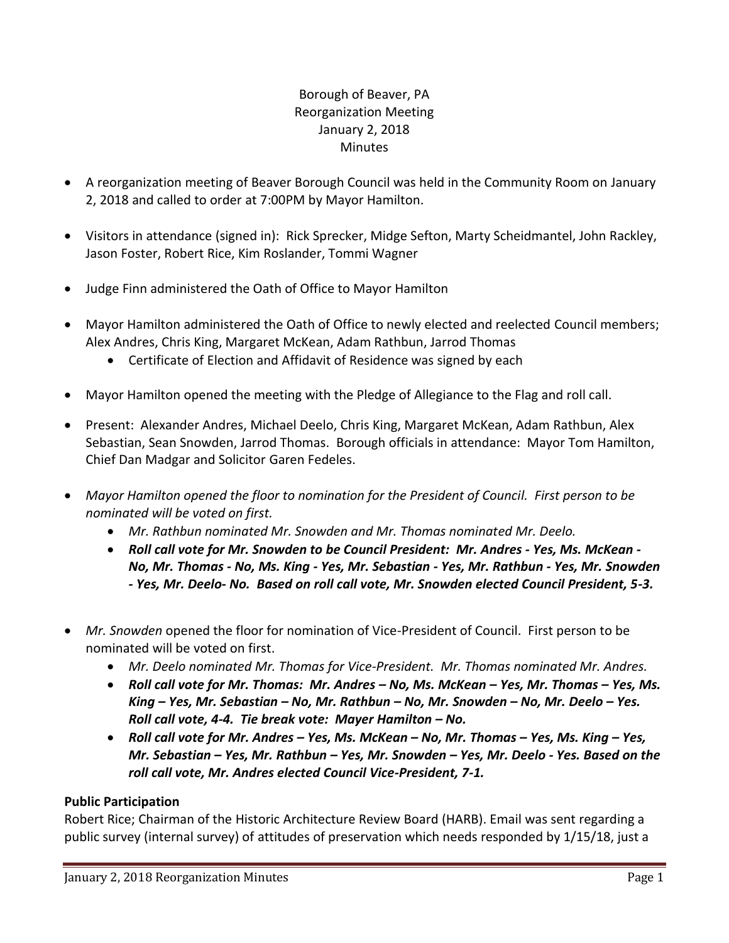# Borough of Beaver, PA Reorganization Meeting January 2, 2018 **Minutes**

- A reorganization meeting of Beaver Borough Council was held in the Community Room on January 2, 2018 and called to order at 7:00PM by Mayor Hamilton.
- Visitors in attendance (signed in): Rick Sprecker, Midge Sefton, Marty Scheidmantel, John Rackley, Jason Foster, Robert Rice, Kim Roslander, Tommi Wagner
- Judge Finn administered the Oath of Office to Mayor Hamilton
- Mayor Hamilton administered the Oath of Office to newly elected and reelected Council members; Alex Andres, Chris King, Margaret McKean, Adam Rathbun, Jarrod Thomas
	- Certificate of Election and Affidavit of Residence was signed by each
- Mayor Hamilton opened the meeting with the Pledge of Allegiance to the Flag and roll call.
- Present: Alexander Andres, Michael Deelo, Chris King, Margaret McKean, Adam Rathbun, Alex Sebastian, Sean Snowden, Jarrod Thomas. Borough officials in attendance: Mayor Tom Hamilton, Chief Dan Madgar and Solicitor Garen Fedeles.
- *Mayor Hamilton opened the floor to nomination for the President of Council. First person to be nominated will be voted on first.*
	- *Mr. Rathbun nominated Mr. Snowden and Mr. Thomas nominated Mr. Deelo.*
	- *Roll call vote for Mr. Snowden to be Council President: Mr. Andres - Yes, Ms. McKean - No, Mr. Thomas - No, Ms. King - Yes, Mr. Sebastian - Yes, Mr. Rathbun - Yes, Mr. Snowden - Yes, Mr. Deelo- No. Based on roll call vote, Mr. Snowden elected Council President, 5-3.*
- *Mr. Snowden* opened the floor for nomination of Vice-President of Council. First person to be nominated will be voted on first.
	- *Mr. Deelo nominated Mr. Thomas for Vice-President. Mr. Thomas nominated Mr. Andres.*
	- *Roll call vote for Mr. Thomas: Mr. Andres – No, Ms. McKean – Yes, Mr. Thomas – Yes, Ms. King – Yes, Mr. Sebastian – No, Mr. Rathbun – No, Mr. Snowden – No, Mr. Deelo – Yes. Roll call vote, 4-4. Tie break vote: Mayer Hamilton – No.*
	- *Roll call vote for Mr. Andres – Yes, Ms. McKean – No, Mr. Thomas – Yes, Ms. King – Yes, Mr. Sebastian – Yes, Mr. Rathbun – Yes, Mr. Snowden – Yes, Mr. Deelo - Yes. Based on the roll call vote, Mr. Andres elected Council Vice-President, 7-1.*

## **Public Participation**

Robert Rice; Chairman of the Historic Architecture Review Board (HARB). Email was sent regarding a public survey (internal survey) of attitudes of preservation which needs responded by 1/15/18, just a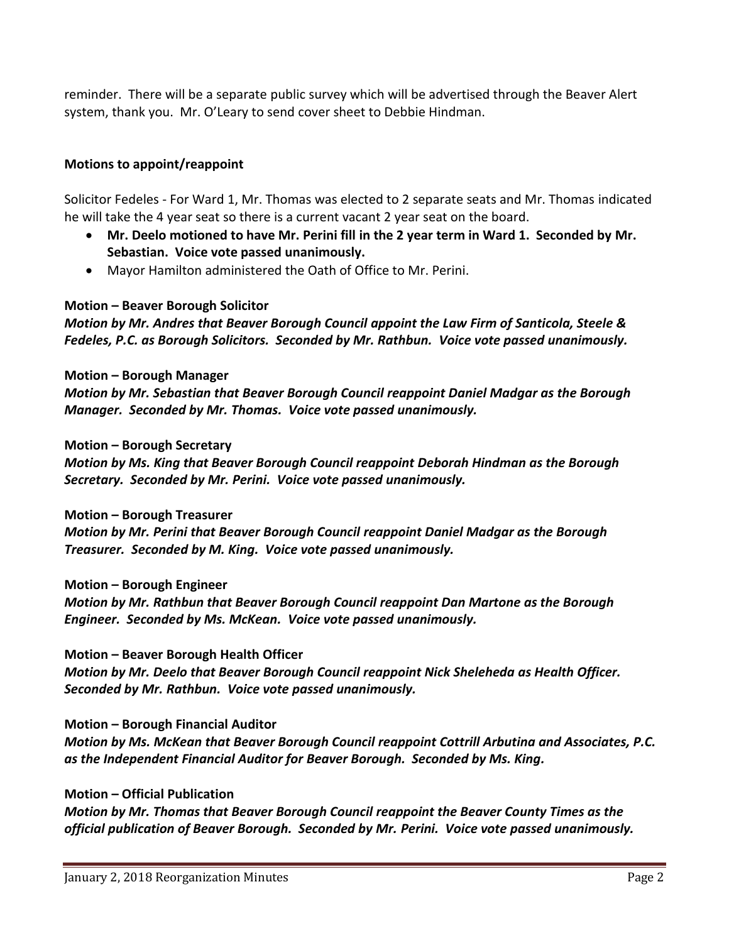reminder. There will be a separate public survey which will be advertised through the Beaver Alert system, thank you. Mr. O'Leary to send cover sheet to Debbie Hindman.

## **Motions to appoint/reappoint**

Solicitor Fedeles - For Ward 1, Mr. Thomas was elected to 2 separate seats and Mr. Thomas indicated he will take the 4 year seat so there is a current vacant 2 year seat on the board.

- **Mr. Deelo motioned to have Mr. Perini fill in the 2 year term in Ward 1. Seconded by Mr. Sebastian. Voice vote passed unanimously.**
- Mayor Hamilton administered the Oath of Office to Mr. Perini.

#### **Motion – Beaver Borough Solicitor**

*Motion by Mr. Andres that Beaver Borough Council appoint the Law Firm of Santicola, Steele & Fedeles, P.C. as Borough Solicitors. Seconded by Mr. Rathbun. Voice vote passed unanimously.*

#### **Motion – Borough Manager**

*Motion by Mr. Sebastian that Beaver Borough Council reappoint Daniel Madgar as the Borough Manager. Seconded by Mr. Thomas. Voice vote passed unanimously.*

#### **Motion – Borough Secretary**

*Motion by Ms. King that Beaver Borough Council reappoint Deborah Hindman as the Borough Secretary. Seconded by Mr. Perini. Voice vote passed unanimously.*

**Motion – Borough Treasurer**

*Motion by Mr. Perini that Beaver Borough Council reappoint Daniel Madgar as the Borough Treasurer. Seconded by M. King. Voice vote passed unanimously.*

#### **Motion – Borough Engineer**

*Motion by Mr. Rathbun that Beaver Borough Council reappoint Dan Martone as the Borough Engineer. Seconded by Ms. McKean. Voice vote passed unanimously.* 

#### **Motion – Beaver Borough Health Officer**

*Motion by Mr. Deelo that Beaver Borough Council reappoint Nick Sheleheda as Health Officer. Seconded by Mr. Rathbun. Voice vote passed unanimously.*

#### **Motion – Borough Financial Auditor**

*Motion by Ms. McKean that Beaver Borough Council reappoint Cottrill Arbutina and Associates, P.C. as the Independent Financial Auditor for Beaver Borough. Seconded by Ms. King.* 

#### **Motion – Official Publication**

*Motion by Mr. Thomas that Beaver Borough Council reappoint the Beaver County Times as the official publication of Beaver Borough. Seconded by Mr. Perini. Voice vote passed unanimously.*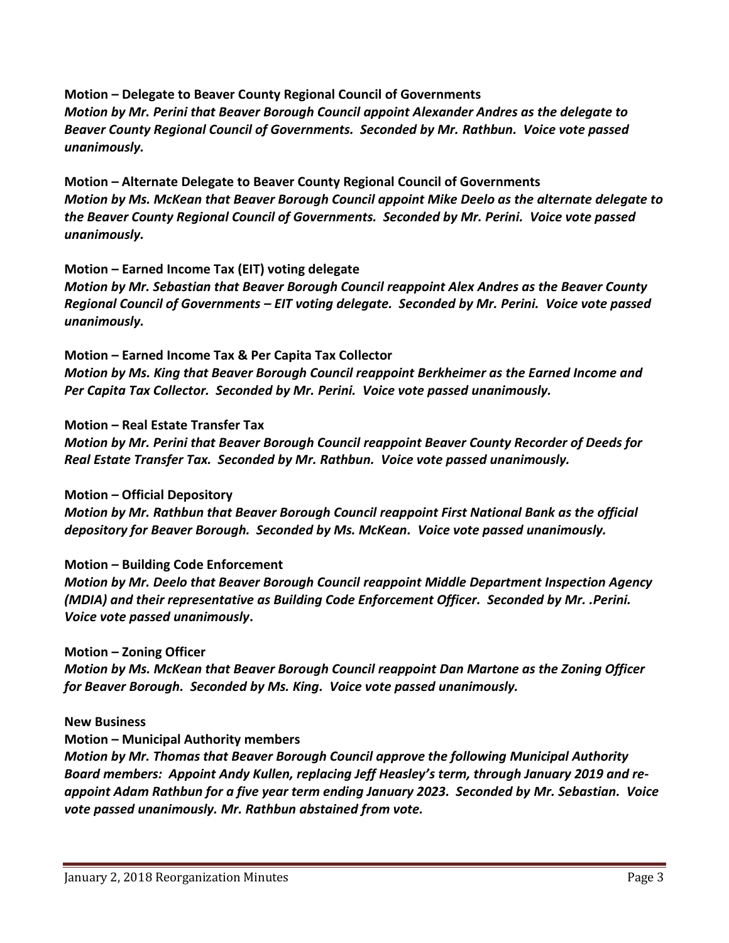**Motion – Delegate to Beaver County Regional Council of Governments** *Motion by Mr. Perini that Beaver Borough Council appoint Alexander Andres as the delegate to Beaver County Regional Council of Governments. Seconded by Mr. Rathbun. Voice vote passed unanimously.*

**Motion – Alternate Delegate to Beaver County Regional Council of Governments** *Motion by Ms. McKean that Beaver Borough Council appoint Mike Deelo as the alternate delegate to the Beaver County Regional Council of Governments. Seconded by Mr. Perini. Voice vote passed unanimously.* 

## **Motion – Earned Income Tax (EIT) voting delegate**

*Motion by Mr. Sebastian that Beaver Borough Council reappoint Alex Andres as the Beaver County Regional Council of Governments – EIT voting delegate. Seconded by Mr. Perini. Voice vote passed unanimously.*

# **Motion – Earned Income Tax & Per Capita Tax Collector**

*Motion by Ms. King that Beaver Borough Council reappoint Berkheimer as the Earned Income and Per Capita Tax Collector. Seconded by Mr. Perini. Voice vote passed unanimously.*

#### **Motion – Real Estate Transfer Tax**

*Motion by Mr. Perini that Beaver Borough Council reappoint Beaver County Recorder of Deeds for Real Estate Transfer Tax. Seconded by Mr. Rathbun. Voice vote passed unanimously.*

#### **Motion – Official Depository**

*Motion by Mr. Rathbun that Beaver Borough Council reappoint First National Bank as the official depository for Beaver Borough. Seconded by Ms. McKean. Voice vote passed unanimously.*

## **Motion – Building Code Enforcement**

*Motion by Mr. Deelo that Beaver Borough Council reappoint Middle Department Inspection Agency (MDIA) and their representative as Building Code Enforcement Officer. Seconded by Mr. .Perini. Voice vote passed unanimously***.**

#### **Motion – Zoning Officer**

*Motion by Ms. McKean that Beaver Borough Council reappoint Dan Martone as the Zoning Officer for Beaver Borough. Seconded by Ms. King. Voice vote passed unanimously.*

#### **New Business**

**Motion – Municipal Authority members**

*Motion by Mr. Thomas that Beaver Borough Council approve the following Municipal Authority Board members: Appoint Andy Kullen, replacing Jeff Heasley's term, through January 2019 and reappoint Adam Rathbun for a five year term ending January 2023. Seconded by Mr. Sebastian. Voice vote passed unanimously. Mr. Rathbun abstained from vote.*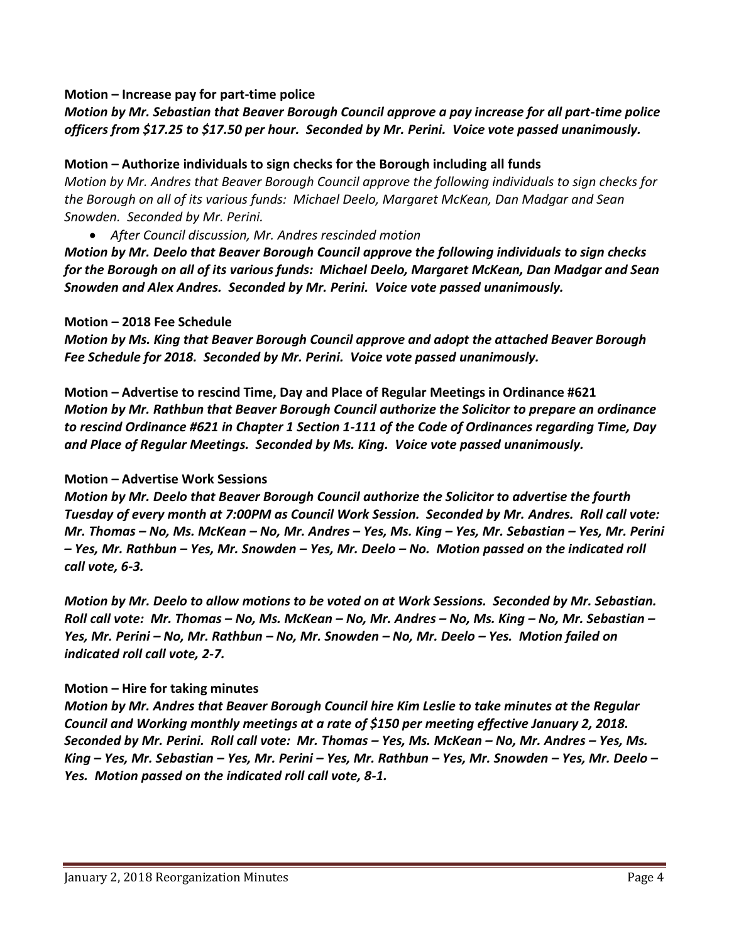#### **Motion – Increase pay for part-time police**

## *Motion by Mr. Sebastian that Beaver Borough Council approve a pay increase for all part-time police officers from \$17.25 to \$17.50 per hour. Seconded by Mr. Perini. Voice vote passed unanimously.*

### **Motion – Authorize individuals to sign checks for the Borough including all funds**

*Motion by Mr. Andres that Beaver Borough Council approve the following individuals to sign checks for the Borough on all of its various funds: Michael Deelo, Margaret McKean, Dan Madgar and Sean Snowden. Seconded by Mr. Perini.*

*After Council discussion, Mr. Andres rescinded motion*

*Motion by Mr. Deelo that Beaver Borough Council approve the following individuals to sign checks for the Borough on all of its various funds: Michael Deelo, Margaret McKean, Dan Madgar and Sean Snowden and Alex Andres. Seconded by Mr. Perini. Voice vote passed unanimously.* 

#### **Motion – 2018 Fee Schedule**

*Motion by Ms. King that Beaver Borough Council approve and adopt the attached Beaver Borough Fee Schedule for 2018. Seconded by Mr. Perini. Voice vote passed unanimously.*

**Motion – Advertise to rescind Time, Day and Place of Regular Meetings in Ordinance #621** *Motion by Mr. Rathbun that Beaver Borough Council authorize the Solicitor to prepare an ordinance to rescind Ordinance #621 in Chapter 1 Section 1-111 of the Code of Ordinances regarding Time, Day and Place of Regular Meetings. Seconded by Ms. King. Voice vote passed unanimously.*

#### **Motion – Advertise Work Sessions**

*Motion by Mr. Deelo that Beaver Borough Council authorize the Solicitor to advertise the fourth Tuesday of every month at 7:00PM as Council Work Session. Seconded by Mr. Andres. Roll call vote: Mr. Thomas – No, Ms. McKean – No, Mr. Andres – Yes, Ms. King – Yes, Mr. Sebastian – Yes, Mr. Perini – Yes, Mr. Rathbun – Yes, Mr. Snowden – Yes, Mr. Deelo – No. Motion passed on the indicated roll call vote, 6-3.*

*Motion by Mr. Deelo to allow motions to be voted on at Work Sessions. Seconded by Mr. Sebastian. Roll call vote: Mr. Thomas – No, Ms. McKean – No, Mr. Andres – No, Ms. King – No, Mr. Sebastian – Yes, Mr. Perini – No, Mr. Rathbun – No, Mr. Snowden – No, Mr. Deelo – Yes. Motion failed on indicated roll call vote, 2-7.*

## **Motion – Hire for taking minutes**

*Motion by Mr. Andres that Beaver Borough Council hire Kim Leslie to take minutes at the Regular Council and Working monthly meetings at a rate of \$150 per meeting effective January 2, 2018. Seconded by Mr. Perini. Roll call vote: Mr. Thomas – Yes, Ms. McKean – No, Mr. Andres – Yes, Ms. King – Yes, Mr. Sebastian – Yes, Mr. Perini – Yes, Mr. Rathbun – Yes, Mr. Snowden – Yes, Mr. Deelo – Yes. Motion passed on the indicated roll call vote, 8-1.*